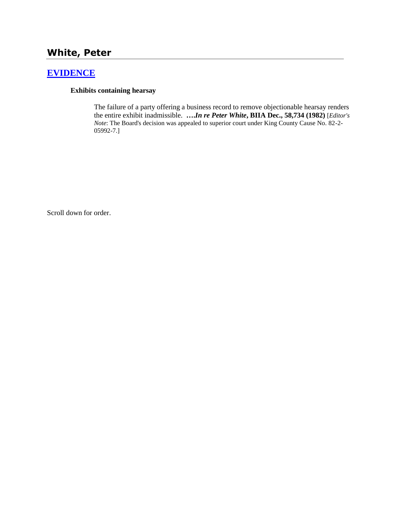# **White, Peter**

# **[EVIDENCE](http://www.biia.wa.gov/SDSubjectIndex.html#EVIDENCE)**

### **Exhibits containing hearsay**

The failure of a party offering a business record to remove objectionable hearsay renders the entire exhibit inadmissible. **….***In re Peter White***, BIIA Dec., 58,734 (1982)** [*Editor's Note*: The Board's decision was appealed to superior court under King County Cause No. 82-2- 05992-7.]

Scroll down for order.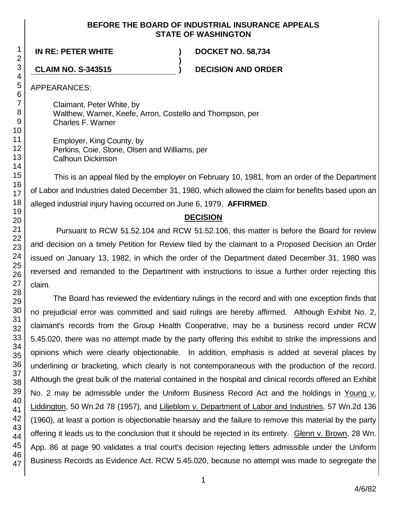### **BEFORE THE BOARD OF INDUSTRIAL INSURANCE APPEALS STATE OF WASHINGTON**

**)**

**IN RE: PETER WHITE ) DOCKET NO. 58,734**

**CLAIM NO. S-343515 ) DECISION AND ORDER**

APPEARANCES:

Claimant, Peter White, by Walthew, Warner, Keefe, Arron, Costello and Thompson, per Charles F. Warner

Employer, King County, by Perkins, Coie, Stone, Olsen and Williams, per Calhoun Dickinson

This is an appeal filed by the employer on February 10, 1981, from an order of the Department of Labor and Industries dated December 31, 1980, which allowed the claim for benefits based upon an alleged industrial injury having occurred on June 6, 1979. **AFFIRMED**.

## **DECISION**

Pursuant to RCW 51.52.104 and RCW 51.52.106, this matter is before the Board for review and decision on a timely Petition for Review filed by the claimant to a Proposed Decision an Order issued on January 13, 1982, in which the order of the Department dated December 31, 1980 was reversed and remanded to the Department with instructions to issue a further order rejecting this claim.

The Board has reviewed the evidentiary rulings in the record and with one exception finds that no prejudicial error was committed and said rulings are hereby affirmed. Although Exhibit No. 2, claimant's records from the Group Health Cooperative, may be a business record under RCW 5.45.020, there was no attempt made by the party offering this exhibit to strike the impressions and opinions which were clearly objectionable. In addition, emphasis is added at several places by underlining or bracketing, which clearly is not contemporaneous with the production of the record. Although the great bulk of the material contained in the hospital and clinical records offered an Exhibit No. 2 may be admissible under the Uniform Business Record Act and the holdings in Young v. Liddington, 50 Wn.2d 78 (1957), and Liljeblom v. Department of Labor and Industries, 57 Wn.2d 136 (1960), at least a portion is objectionable hearsay and the failure to remove this material by the party offering it leads us to the conclusion that it should be rejected in its entirety. Glenn v. Brown, 28 Wn. App. 86 at page 90 validates a trial court's decision rejecting letters admissible under the Uniform Business Records as Evidence Act. RCW 5.45.020, because no attempt was made to segregate the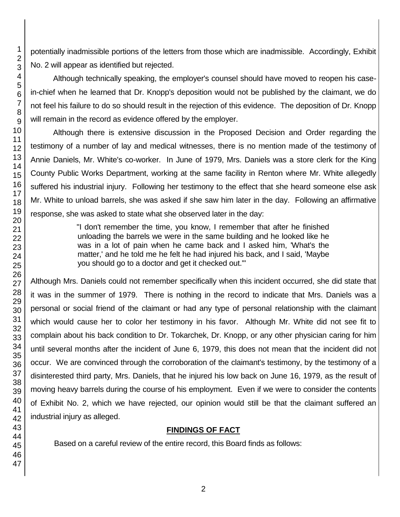potentially inadmissible portions of the letters from those which are inadmissible. Accordingly, Exhibit No. 2 will appear as identified but rejected.

Although technically speaking, the employer's counsel should have moved to reopen his casein-chief when he learned that Dr. Knopp's deposition would not be published by the claimant, we do not feel his failure to do so should result in the rejection of this evidence. The deposition of Dr. Knopp will remain in the record as evidence offered by the employer.

Although there is extensive discussion in the Proposed Decision and Order regarding the testimony of a number of lay and medical witnesses, there is no mention made of the testimony of Annie Daniels, Mr. White's co-worker. In June of 1979, Mrs. Daniels was a store clerk for the King County Public Works Department, working at the same facility in Renton where Mr. White allegedly suffered his industrial injury. Following her testimony to the effect that she heard someone else ask Mr. White to unload barrels, she was asked if she saw him later in the day. Following an affirmative response, she was asked to state what she observed later in the day:

> "I don't remember the time, you know, I remember that after he finished unloading the barrels we were in the same building and he looked like he was in a lot of pain when he came back and I asked him, 'What's the matter,' and he told me he felt he had injured his back, and I said, 'Maybe you should go to a doctor and get it checked out.'"

Although Mrs. Daniels could not remember specifically when this incident occurred, she did state that it was in the summer of 1979. There is nothing in the record to indicate that Mrs. Daniels was a personal or social friend of the claimant or had any type of personal relationship with the claimant which would cause her to color her testimony in his favor. Although Mr. White did not see fit to complain about his back condition to Dr. Tokarchek, Dr. Knopp, or any other physician caring for him until several months after the incident of June 6, 1979, this does not mean that the incident did not occur. We are convinced through the corroboration of the claimant's testimony, by the testimony of a disinterested third party, Mrs. Daniels, that he injured his low back on June 16, 1979, as the result of moving heavy barrels during the course of his employment. Even if we were to consider the contents of Exhibit No. 2, which we have rejected, our opinion would still be that the claimant suffered an industrial injury as alleged.

## **FINDINGS OF FACT**

Based on a careful review of the entire record, this Board finds as follows: